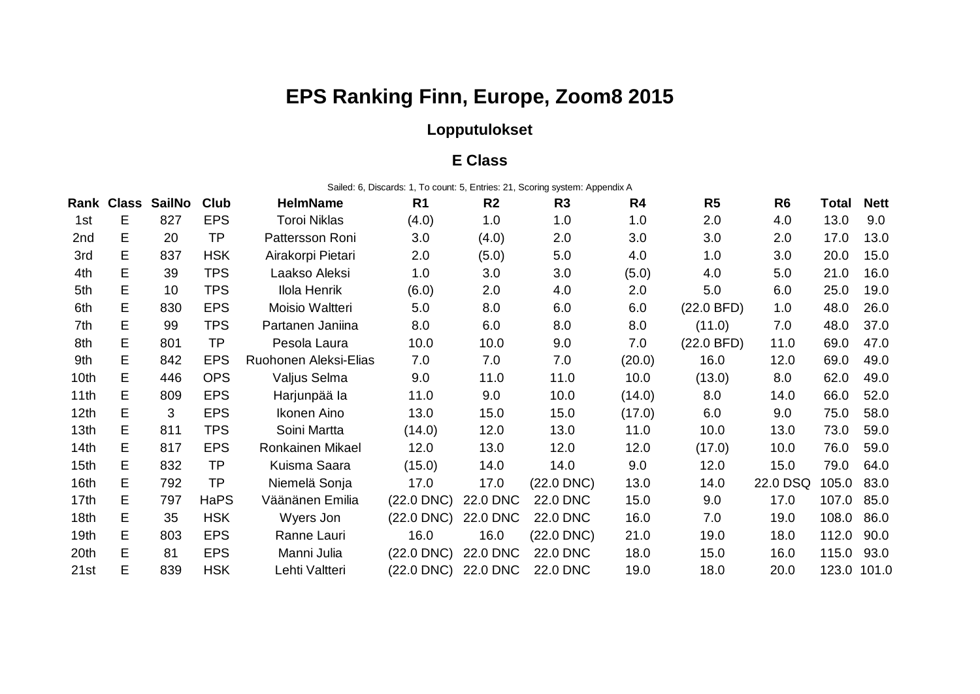# **EPS Ranking Finn, Europe, Zoom8 2015**

## **Lopputulokset**

#### **E Class**

Sailed: 6, Discards: 1, To count: 5, Entries: 21, Scoring system: Appendix A

|                  | <b>Rank Class</b> | <b>SailNo</b> | <b>Club</b> | <b>HelmName</b>       | R <sub>1</sub>  | R <sub>2</sub>  | R <sub>3</sub>  | R4     | R <sub>5</sub> | R <sub>6</sub> | Total | <b>Nett</b> |
|------------------|-------------------|---------------|-------------|-----------------------|-----------------|-----------------|-----------------|--------|----------------|----------------|-------|-------------|
| 1st              | E                 | 827           | <b>EPS</b>  | <b>Toroi Niklas</b>   | (4.0)           | 1.0             | 1.0             | 1.0    | 2.0            | 4.0            | 13.0  | 9.0         |
| 2nd              | E                 | 20            | <b>TP</b>   | Pattersson Roni       | 3.0             | (4.0)           | 2.0             | 3.0    | 3.0            | 2.0            | 17.0  | 13.0        |
| 3rd              | E.                | 837           | <b>HSK</b>  | Airakorpi Pietari     | 2.0             | (5.0)           | 5.0             | 4.0    | 1.0            | 3.0            | 20.0  | 15.0        |
| 4th              | E.                | 39            | <b>TPS</b>  | Laakso Aleksi         | 1.0             | 3.0             | 3.0             | (5.0)  | 4.0            | 5.0            | 21.0  | 16.0        |
| 5th              | E.                | 10            | <b>TPS</b>  | Ilola Henrik          | (6.0)           | 2.0             | 4.0             | 2.0    | 5.0            | 6.0            | 25.0  | 19.0        |
| 6th              | E.                | 830           | <b>EPS</b>  | Moisio Waltteri       | 5.0             | 8.0             | 6.0             | 6.0    | (22.0 BFD)     | 1.0            | 48.0  | 26.0        |
| 7th              | E.                | 99            | <b>TPS</b>  | Partanen Janiina      | 8.0             | 6.0             | 8.0             | 8.0    | (11.0)         | 7.0            | 48.0  | 37.0        |
| 8th              | E.                | 801           | TP          | Pesola Laura          | 10.0            | 10.0            | 9.0             | 7.0    | (22.0 BFD)     | 11.0           | 69.0  | 47.0        |
| 9th              | E.                | 842           | <b>EPS</b>  | Ruohonen Aleksi-Elias | 7.0             | 7.0             | 7.0             | (20.0) | 16.0           | 12.0           | 69.0  | 49.0        |
| 10th             | E.                | 446           | <b>OPS</b>  | Valjus Selma          | 9.0             | 11.0            | 11.0            | 10.0   | (13.0)         | 8.0            | 62.0  | 49.0        |
| 11th             | E.                | 809           | <b>EPS</b>  | Harjunpää la          | 11.0            | 9.0             | 10.0            | (14.0) | 8.0            | 14.0           | 66.0  | 52.0        |
| 12 <sub>th</sub> | E.                | 3             | <b>EPS</b>  | Ikonen Aino           | 13.0            | 15.0            | 15.0            | (17.0) | 6.0            | 9.0            | 75.0  | 58.0        |
| 13th             | E.                | 811           | <b>TPS</b>  | Soini Martta          | (14.0)          | 12.0            | 13.0            | 11.0   | 10.0           | 13.0           | 73.0  | 59.0        |
| 14th             | E.                | 817           | <b>EPS</b>  | Ronkainen Mikael      | 12.0            | 13.0            | 12.0            | 12.0   | (17.0)         | 10.0           | 76.0  | 59.0        |
| 15 <sub>th</sub> | E.                | 832           | <b>TP</b>   | Kuisma Saara          | (15.0)          | 14.0            | 14.0            | 9.0    | 12.0           | 15.0           | 79.0  | 64.0        |
| 16th             | E.                | 792           | TP          | Niemelä Sonja         | 17.0            | 17.0            | $(22.0$ DNC $)$ | 13.0   | 14.0           | 22.0 DSQ       | 105.0 | 83.0        |
| 17 <sub>th</sub> | E.                | 797           | <b>HaPS</b> | Väänänen Emilia       | $(22.0$ DNC $)$ | <b>22.0 DNC</b> | 22.0 DNC        | 15.0   | 9.0            | 17.0           | 107.0 | 85.0        |
| 18 <sub>th</sub> | E.                | 35            | <b>HSK</b>  | Wyers Jon             | $(22.0$ DNC $)$ | <b>22.0 DNC</b> | <b>22.0 DNC</b> | 16.0   | 7.0            | 19.0           | 108.0 | 86.0        |
| 19 <sub>th</sub> | E.                | 803           | <b>EPS</b>  | Ranne Lauri           | 16.0            | 16.0            | $(22.0$ DNC $)$ | 21.0   | 19.0           | 18.0           | 112.0 | 90.0        |
| 20th             | E.                | 81            | <b>EPS</b>  | Manni Julia           | $(22.0$ DNC $)$ | <b>22.0 DNC</b> | <b>22.0 DNC</b> | 18.0   | 15.0           | 16.0           | 115.0 | 93.0        |
| 21st             | Е                 | 839           | <b>HSK</b>  | Lehti Valtteri        | (22.0 DNC)      | 22.0 DNC        | <b>22.0 DNC</b> | 19.0   | 18.0           | 20.0           |       | 123.0 101.0 |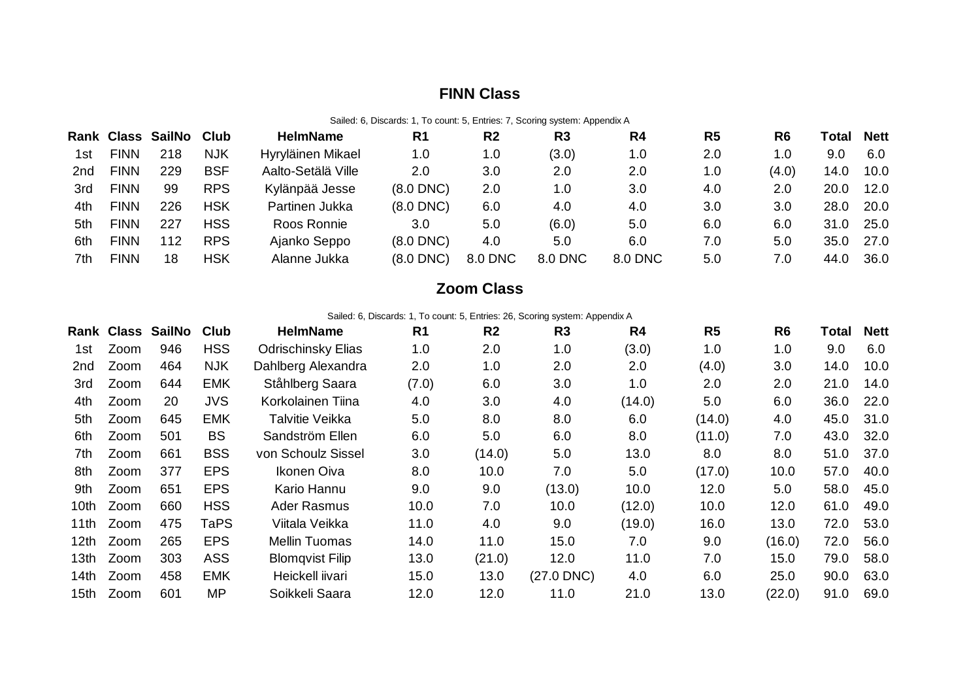### **FINN Class**

Sailed: 6, Discards: 1, To count: 5, Entries: 7, Scoring system: Appendix A

|     |             | Rank Class SailNo Club |            | <b>HelmName</b>    | R <sub>1</sub> | R <sub>2</sub> | R3      | R4      | R5  | R <sub>6</sub> | Гоtal | <b>Nett</b> |
|-----|-------------|------------------------|------------|--------------------|----------------|----------------|---------|---------|-----|----------------|-------|-------------|
| 1st | <b>FINN</b> | 218                    | <b>NJK</b> | Hyryläinen Mikael  | 1.0            | 1.0            | (3.0)   | 1.0     | 2.0 | 1.0            | 9.0   | 6.0         |
| 2nd | <b>FINN</b> | 229                    | <b>BSF</b> | Aalto-Setälä Ville | 2.0            | 3.0            | 2.0     | 2.0     | 1.0 | (4.0)          | 14.0  | 10.0        |
| 3rd | <b>FINN</b> | 99                     | <b>RPS</b> | Kylänpää Jesse     | $(8.0$ DNC $)$ | 2.0            | 1.0     | 3.0     | 4.0 | 2.0            | 20.0  | 12.0        |
| 4th | <b>FINN</b> | 226                    | <b>HSK</b> | Partinen Jukka     | $(8.0$ DNC $)$ | 6.0            | 4.0     | 4.0     | 3.0 | 3.0            | 28.0  | 20.0        |
| 5th | <b>FINN</b> | 227                    | <b>HSS</b> | Roos Ronnie        | 3.0            | 5.0            | (6.0)   | 5.0     | 6.0 | 6.0            | 31.0  | 25.0        |
| 6th | <b>FINN</b> | 112                    | <b>RPS</b> | Ajanko Seppo       | $(8.0$ DNC $)$ | 4.0            | 5.0     | 6.0     | 7.0 | 5.0            | 35.0  | 27.0        |
| 7th | <b>FINN</b> | 18                     | HSK        | Alanne Jukka       | $(8.0$ DNC $)$ | 8.0 DNC        | 8.0 DNC | 8.0 DNC | 5.0 | 7.0            | 44.0  | 36.0        |

#### **Zoom Class**

Sailed: 6, Discards: 1, To count: 5, Entries: 26, Scoring system: Appendix A

|       |      | Rank Class SailNo | Club        | <b>HelmName</b>           | R <sub>1</sub> | R <sub>2</sub> | R3              | R4     | R <sub>5</sub> | R <sub>6</sub> | Total | <b>Nett</b> |
|-------|------|-------------------|-------------|---------------------------|----------------|----------------|-----------------|--------|----------------|----------------|-------|-------------|
| 1st   | Zoom | 946               | <b>HSS</b>  | <b>Odrischinsky Elias</b> | 1.0            | 2.0            | 1.0             | (3.0)  | 1.0            | 1.0            | 9.0   | 6.0         |
| 2nd   | Zoom | 464               | <b>NJK</b>  | Dahlberg Alexandra        | 2.0            | 1.0            | 2.0             | 2.0    | (4.0)          | 3.0            | 14.0  | 10.0        |
| 3rd   | Zoom | 644               | <b>EMK</b>  | Ståhlberg Saara           | (7.0)          | 6.0            | 3.0             | 1.0    | 2.0            | 2.0            | 21.0  | 14.0        |
| 4th   | Zoom | 20                | <b>JVS</b>  | Korkolainen Tiina         | 4.0            | 3.0            | 4.0             | (14.0) | 5.0            | 6.0            | 36.0  | 22.0        |
| 5th   | Zoom | 645               | <b>EMK</b>  | Talvitie Veikka           | 5.0            | 8.0            | 8.0             | 6.0    | (14.0)         | 4.0            | 45.0  | 31.0        |
| 6th   | Zoom | 501               | <b>BS</b>   | Sandström Ellen           | 6.0            | 5.0            | 6.0             | 8.0    | (11.0)         | 7.0            | 43.0  | 32.0        |
| 7th.  | Zoom | 661               | <b>BSS</b>  | von Schoulz Sissel        | 3.0            | (14.0)         | 5.0             | 13.0   | 8.0            | 8.0            | 51.0  | 37.0        |
| 8th   | Zoom | 377               | <b>EPS</b>  | Ikonen Oiva               | 8.0            | 10.0           | 7.0             | 5.0    | (17.0)         | 10.0           | 57.0  | 40.0        |
| 9th   | Zoom | 651               | <b>EPS</b>  | Kario Hannu               | 9.0            | 9.0            | (13.0)          | 10.0   | 12.0           | 5.0            | 58.0  | 45.0        |
| 10th. | Zoom | 660               | <b>HSS</b>  | Ader Rasmus               | 10.0           | 7.0            | 10.0            | (12.0) | 10.0           | 12.0           | 61.0  | 49.0        |
| 11th  | Zoom | 475               | <b>TaPS</b> | Viitala Veikka            | 11.0           | 4.0            | 9.0             | (19.0) | 16.0           | 13.0           | 72.0  | 53.0        |
| 12th  | Zoom | 265               | <b>EPS</b>  | <b>Mellin Tuomas</b>      | 14.0           | 11.0           | 15.0            | 7.0    | 9.0            | (16.0)         | 72.0  | 56.0        |
| 13th. | Zoom | 303               | <b>ASS</b>  | <b>Blomqvist Filip</b>    | 13.0           | (21.0)         | 12.0            | 11.0   | 7.0            | 15.0           | 79.0  | 58.0        |
| 14th  | Zoom | 458               | <b>EMK</b>  | Heickell iivari           | 15.0           | 13.0           | $(27.0$ DNC $)$ | 4.0    | 6.0            | 25.0           | 90.0  | 63.0        |
| 15th  | Zoom | 601               | MP          | Soikkeli Saara            | 12.0           | 12.0           | 11.0            | 21.0   | 13.0           | (22.0)         | 91.0  | 69.0        |